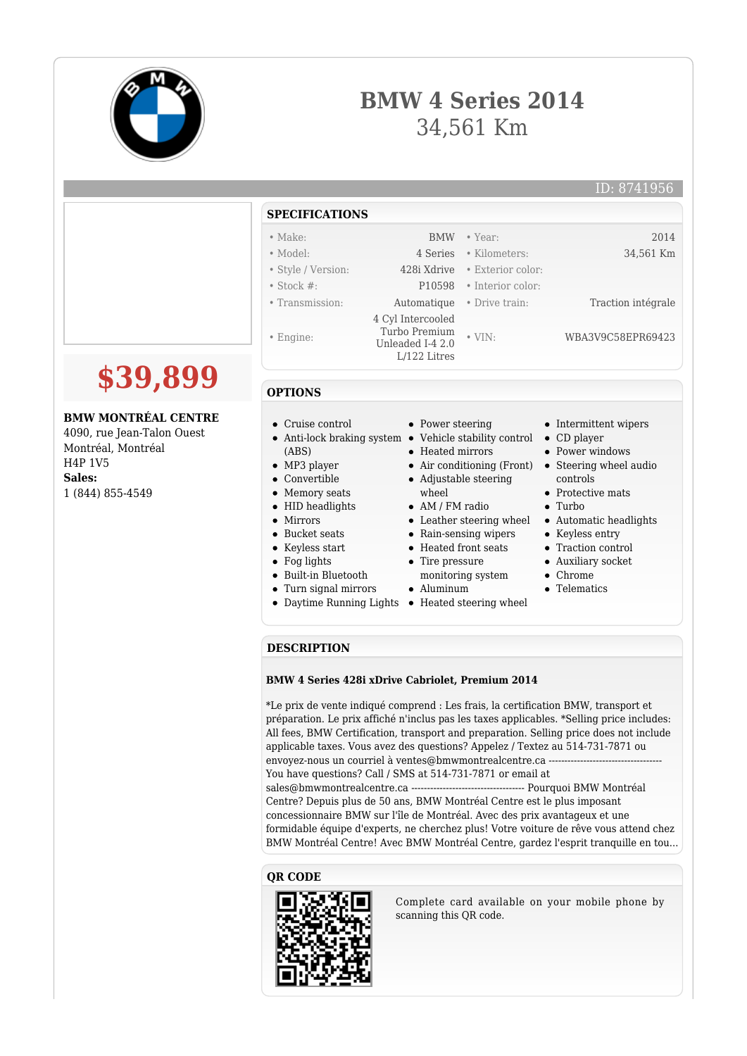

# **BMW 4 Series 2014** 34,561 Km

|                                                                                | <b>SPECIFICATIONS</b>                                                        |                                      |                                    |                                                                 |
|--------------------------------------------------------------------------------|------------------------------------------------------------------------------|--------------------------------------|------------------------------------|-----------------------------------------------------------------|
|                                                                                | $\bullet$ Make:                                                              | <b>BMW</b>                           | • Year:                            | 2014                                                            |
|                                                                                | • Model:                                                                     | 4 Series                             | · Kilometers:                      | 34,561 Km                                                       |
|                                                                                | • Style / Version:                                                           | 428i Xdrive                          | • Exterior color:                  |                                                                 |
|                                                                                | $\bullet$ Stock #:                                                           | P10598                               | • Interior color:                  |                                                                 |
|                                                                                | • Transmission:                                                              | Automatique                          | • Drive train:                     | Traction intégrale                                              |
|                                                                                | $\bullet$ Engine:                                                            | 4 Cyl Intercooled<br>Turbo Premium   | $\bullet$ VIN:                     | WBA3V9C58EPR69423                                               |
|                                                                                |                                                                              | Unleaded I-4 2.0<br>$L/122$ Litres   |                                    |                                                                 |
| \$39,899                                                                       | <b>OPTIONS</b>                                                               |                                      |                                    |                                                                 |
| <b>BMW MONTRÉAL CENTRE</b><br>4090, rue Jean-Talon Ouest<br>Montréal, Montréal | Cruise control<br>$\bullet$<br>• Anti-lock braking system $\bullet$<br>(ABS) | • Power steering<br>• Heated mirrors | Vehicle stability control          | • Intermittent wipers<br>$\bullet$ CD player<br>• Power windows |
| H4P 1V5                                                                        | $\bullet$ MP3 player<br>$\bullet$ Convertible                                |                                      | $\bullet$ Air conditioning (Front) | • Steering wheel audio                                          |
| Sales:<br>1 (844) 855-4549                                                     | • Memory seats                                                               | wheel                                | • Adjustable steering              | controls<br>• Protective mats                                   |
|                                                                                | • HID headlights                                                             | $\bullet$ AM / FM radio              |                                    | $\bullet$ Turbo                                                 |
|                                                                                | • Mirrors                                                                    |                                      | • Leather steering wheel           | • Automatic headlights                                          |
|                                                                                | • Bucket seats                                                               |                                      | • Rain-sensing wipers              | • Keyless entry                                                 |
|                                                                                | • Keyless start                                                              | • Heated front seats                 |                                    | • Traction control                                              |
|                                                                                | $\bullet$ Fog lights                                                         | Tire pressure                        |                                    | • Auxiliary socket                                              |
|                                                                                | • Built-in Bluetooth                                                         |                                      | monitoring system                  | $\bullet$ Chrome                                                |
|                                                                                | • Turn signal mirrors                                                        | Aluminum                             |                                    | • Telematics                                                    |

#### • Telematics

## **DESCRIPTION**

#### **BMW 4 Series 428i xDrive Cabriolet, Premium 2014**

Daytime Running Lights • Heated steering wheel

\*Le prix de vente indiqué comprend : Les frais, la certification BMW, transport et préparation. Le prix affiché n'inclus pas les taxes applicables. \*Selling price includes: All fees, BMW Certification, transport and preparation. Selling price does not include applicable taxes. Vous avez des questions? Appelez / Textez au 514-731-7871 ou envoyez-nous un courriel à ventes@bmwmontrealcentre.ca ---You have questions? Call / SMS at 514-731-7871 or email at sales@bmwmontrealcentre.ca ------------------------------------ Pourquoi BMW Montréal Centre? Depuis plus de 50 ans, BMW Montréal Centre est le plus imposant concessionnaire BMW sur l'île de Montréal. Avec des prix avantageux et une formidable équipe d'experts, ne cherchez plus! Votre voiture de rêve vous attend chez BMW Montréal Centre! Avec BMW Montréal Centre, gardez l'esprit tranquille en tou...

## **QR CODE**



Complete card available on your mobile phone by scanning this QR code.